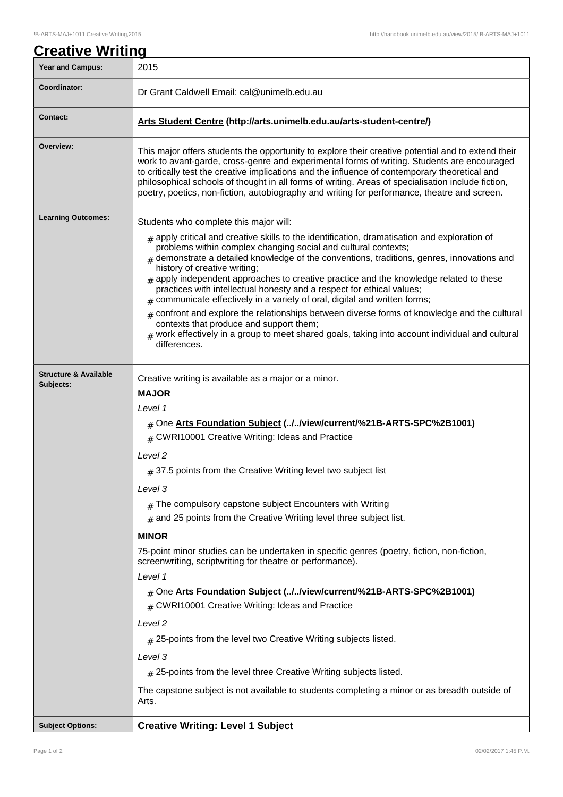| <b>Creative Writing</b>                       |                                                                                                                                                                                                                                                                                                                                                                                                                                                                                                                                                       |  |  |  |
|-----------------------------------------------|-------------------------------------------------------------------------------------------------------------------------------------------------------------------------------------------------------------------------------------------------------------------------------------------------------------------------------------------------------------------------------------------------------------------------------------------------------------------------------------------------------------------------------------------------------|--|--|--|
| <b>Year and Campus:</b>                       | 2015                                                                                                                                                                                                                                                                                                                                                                                                                                                                                                                                                  |  |  |  |
| Coordinator:                                  | Dr Grant Caldwell Email: cal@unimelb.edu.au                                                                                                                                                                                                                                                                                                                                                                                                                                                                                                           |  |  |  |
| <b>Contact:</b>                               | Arts Student Centre (http://arts.unimelb.edu.au/arts-student-centre/)                                                                                                                                                                                                                                                                                                                                                                                                                                                                                 |  |  |  |
| Overview:                                     | This major offers students the opportunity to explore their creative potential and to extend their<br>work to avant-garde, cross-genre and experimental forms of writing. Students are encouraged<br>to critically test the creative implications and the influence of contemporary theoretical and<br>philosophical schools of thought in all forms of writing. Areas of specialisation include fiction,<br>poetry, poetics, non-fiction, autobiography and writing for performance, theatre and screen.                                             |  |  |  |
| <b>Learning Outcomes:</b>                     | Students who complete this major will:                                                                                                                                                                                                                                                                                                                                                                                                                                                                                                                |  |  |  |
|                                               | $#$ apply critical and creative skills to the identification, dramatisation and exploration of<br>problems within complex changing social and cultural contexts;<br>$#$ demonstrate a detailed knowledge of the conventions, traditions, genres, innovations and<br>history of creative writing;<br>$*$ apply independent approaches to creative practice and the knowledge related to these<br>practices with intellectual honesty and a respect for ethical values;<br>$#$ communicate effectively in a variety of oral, digital and written forms; |  |  |  |
|                                               | $#$ confront and explore the relationships between diverse forms of knowledge and the cultural<br>contexts that produce and support them;<br>$_{\#}$ work effectively in a group to meet shared goals, taking into account individual and cultural<br>differences.                                                                                                                                                                                                                                                                                    |  |  |  |
| <b>Structure &amp; Available</b><br>Subjects: | Creative writing is available as a major or a minor.<br><b>MAJOR</b>                                                                                                                                                                                                                                                                                                                                                                                                                                                                                  |  |  |  |
|                                               | Level 1                                                                                                                                                                                                                                                                                                                                                                                                                                                                                                                                               |  |  |  |
|                                               | # One Arts Foundation Subject (//view/current/%21B-ARTS-SPC%2B1001)<br># CWRI10001 Creative Writing: Ideas and Practice                                                                                                                                                                                                                                                                                                                                                                                                                               |  |  |  |
|                                               | Level 2                                                                                                                                                                                                                                                                                                                                                                                                                                                                                                                                               |  |  |  |
|                                               | $#$ 37.5 points from the Creative Writing level two subject list                                                                                                                                                                                                                                                                                                                                                                                                                                                                                      |  |  |  |
|                                               | Level 3                                                                                                                                                                                                                                                                                                                                                                                                                                                                                                                                               |  |  |  |
|                                               | $#$ The compulsory capstone subject Encounters with Writing<br>$#$ and 25 points from the Creative Writing level three subject list.                                                                                                                                                                                                                                                                                                                                                                                                                  |  |  |  |
|                                               | <b>MINOR</b>                                                                                                                                                                                                                                                                                                                                                                                                                                                                                                                                          |  |  |  |
|                                               | 75-point minor studies can be undertaken in specific genres (poetry, fiction, non-fiction,<br>screenwriting, scriptwriting for theatre or performance).                                                                                                                                                                                                                                                                                                                                                                                               |  |  |  |
|                                               | Level 1<br># One Arts Foundation Subject (//view/current/%21B-ARTS-SPC%2B1001)<br># CWRI10001 Creative Writing: Ideas and Practice                                                                                                                                                                                                                                                                                                                                                                                                                    |  |  |  |
|                                               | Level 2                                                                                                                                                                                                                                                                                                                                                                                                                                                                                                                                               |  |  |  |
|                                               | $#$ 25-points from the level two Creative Writing subjects listed.                                                                                                                                                                                                                                                                                                                                                                                                                                                                                    |  |  |  |
|                                               | Level 3                                                                                                                                                                                                                                                                                                                                                                                                                                                                                                                                               |  |  |  |
|                                               | $\#$ 25-points from the level three Creative Writing subjects listed.                                                                                                                                                                                                                                                                                                                                                                                                                                                                                 |  |  |  |
|                                               | The capstone subject is not available to students completing a minor or as breadth outside of<br>Arts.                                                                                                                                                                                                                                                                                                                                                                                                                                                |  |  |  |
| <b>Subject Options:</b>                       | <b>Creative Writing: Level 1 Subject</b>                                                                                                                                                                                                                                                                                                                                                                                                                                                                                                              |  |  |  |